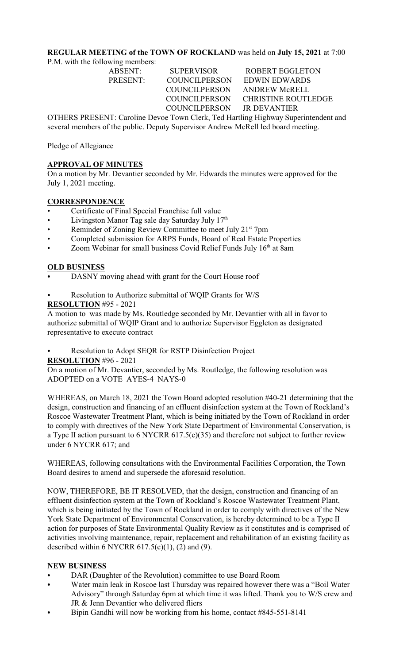# **REGULAR MEETING of the TOWN OF ROCKLAND** was held on **July 15, 2021** at 7:00

P.M. with the following members:

| ABSENT:                                                                          | <b>SUPERVISOR</b>          | <b>ROBERT EGGLETON</b>            |  |
|----------------------------------------------------------------------------------|----------------------------|-----------------------------------|--|
| PRESENT:                                                                         | <b>COUNCILPERSON</b>       | <b>EDWIN EDWARDS</b>              |  |
|                                                                                  | COUNCILPERSON              | ANDREW McRELL                     |  |
|                                                                                  |                            | COUNCILPERSON CHRISTINE ROUTLEDGE |  |
|                                                                                  | COUNCILPERSON JR DEVANTIER |                                   |  |
| OTHERS PRESENT: Caroline Devoe Town Clerk, Ted Hartling Highway Superintendent a |                            |                                   |  |

OTHERS PRESENT: Caroline Devoe Town Clerk, Ted Hartling Highway Superintendent and several members of the public. Deputy Supervisor Andrew McRell led board meeting.

Pledge of Allegiance

### **APPROVAL OF MINUTES**

On a motion by Mr. Devantier seconded by Mr. Edwards the minutes were approved for the July 1, 2021 meeting.

## **CORRESPONDENCE**

- Certificate of Final Special Franchise full value
- Livingston Manor Tag sale day Saturday July 17<sup>th</sup>
- Reminder of Zoning Review Committee to meet July 21<sup>st</sup> 7pm
- Completed submission for ARPS Funds, Board of Real Estate Properties
- Zoom Webinar for small business Covid Relief Funds July 16<sup>th</sup> at 8am

## **OLD BUSINESS**

- DASNY moving ahead with grant for the Court House roof
- Resolution to Authorize submittal of WQIP Grants for W/S

#### **RESOLUTION** #95 - 2021

A motion to was made by Ms. Routledge seconded by Mr. Devantier with all in favor to authorize submittal of WQIP Grant and to authorize Supervisor Eggleton as designated representative to execute contract

Resolution to Adopt SEQR for RSTP Disinfection Project

**RESOLUTION** #96 - 2021

On a motion of Mr. Devantier, seconded by Ms. Routledge, the following resolution was ADOPTED on a VOTE AYES-4 NAYS-0

WHEREAS, on March 18, 2021 the Town Board adopted resolution #40-21 determining that the design, construction and financing of an effluent disinfection system at the Town of Rockland's Roscoe Wastewater Treatment Plant, which is being initiated by the Town of Rockland in order to comply with directives of the New York State Department of Environmental Conservation, is a Type II action pursuant to 6 NYCRR 617.5(c)(35) and therefore not subject to further review under 6 NYCRR 617; and

WHEREAS, following consultations with the Environmental Facilities Corporation, the Town Board desires to amend and supersede the aforesaid resolution.

NOW, THEREFORE, BE IT RESOLVED, that the design, construction and financing of an effluent disinfection system at the Town of Rockland's Roscoe Wastewater Treatment Plant, which is being initiated by the Town of Rockland in order to comply with directives of the New York State Department of Environmental Conservation, is hereby determined to be a Type II action for purposes of State Environmental Quality Review as it constitutes and is comprised of activities involving maintenance, repair, replacement and rehabilitation of an existing facility as described within 6 NYCRR 617.5(c)(1), (2) and (9).

#### **NEW BUSINESS**

- DAR (Daughter of the Revolution) committee to use Board Room
- Water main leak in Roscoe last Thursday was repaired however there was a "Boil Water" Advisory" through Saturday 6pm at which time it was lifted. Thank you to W/S crew and JR & Jenn Devantier who delivered fliers
- Bipin Gandhi will now be working from his home, contact #845-551-8141